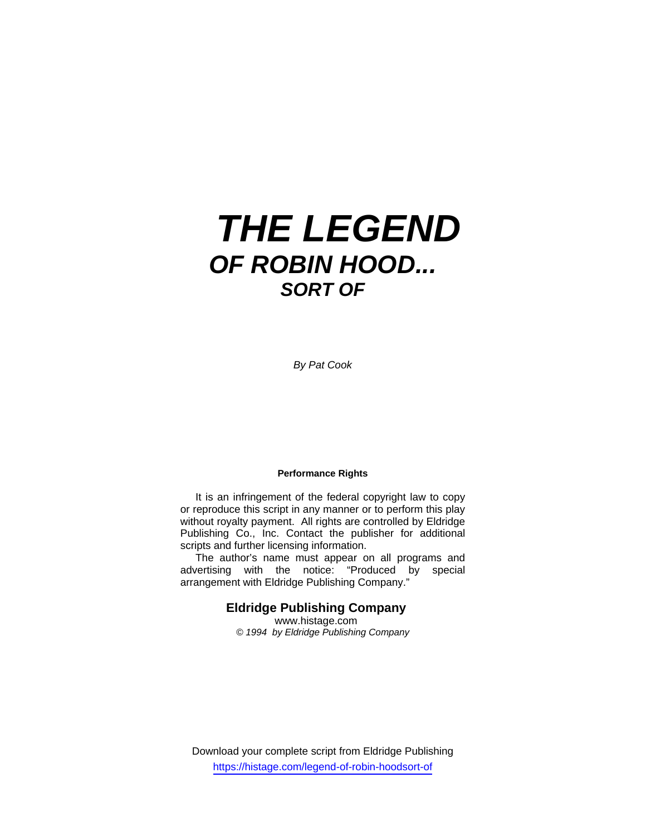# *THE LEGEND OF ROBIN HOOD... SORT OF*

*By Pat Cook* 

#### **Performance Rights**

 It is an infringement of the federal copyright law to copy or reproduce this script in any manner or to perform this play without royalty payment. All rights are controlled by Eldridge Publishing Co., Inc. Contact the publisher for additional scripts and further licensing information.

 The author's name must appear on all programs and advertising with the notice: "Produced by special arrangement with Eldridge Publishing Company."

## **Eldridge Publishing Company**

www.histage.com *© 1994 by Eldridge Publishing Company* 

Download your complete script from Eldridge Publishing https://histage.com/legend-of-robin-hoodsort-of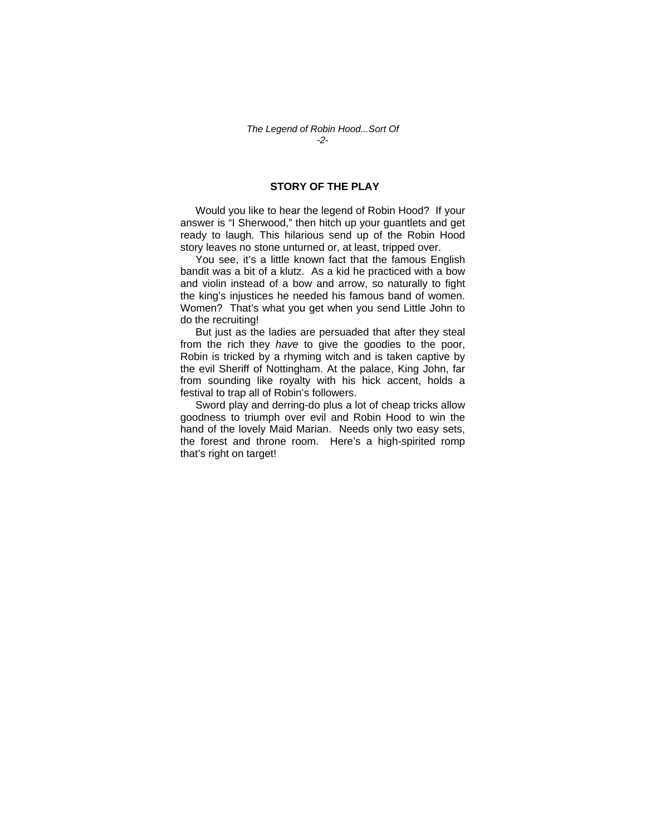### **STORY OF THE PLAY**

 Would you like to hear the legend of Robin Hood? If your answer is "I Sherwood," then hitch up your guantlets and get ready to laugh. This hilarious send up of the Robin Hood story leaves no stone unturned or, at least, tripped over.

 You see, it's a little known fact that the famous English bandit was a bit of a klutz. As a kid he practiced with a bow and violin instead of a bow and arrow, so naturally to fight the king's injustices he needed his famous band of women. Women? That's what you get when you send Little John to do the recruiting!

 But just as the ladies are persuaded that after they steal from the rich they *have* to give the goodies to the poor, Robin is tricked by a rhyming witch and is taken captive by the evil Sheriff of Nottingham. At the palace, King John, far from sounding like royalty with his hick accent, holds a festival to trap all of Robin's followers.

 Sword play and derring-do plus a lot of cheap tricks allow goodness to triumph over evil and Robin Hood to win the hand of the lovely Maid Marian. Needs only two easy sets, the forest and throne room. Here's a high-spirited romp that's right on target!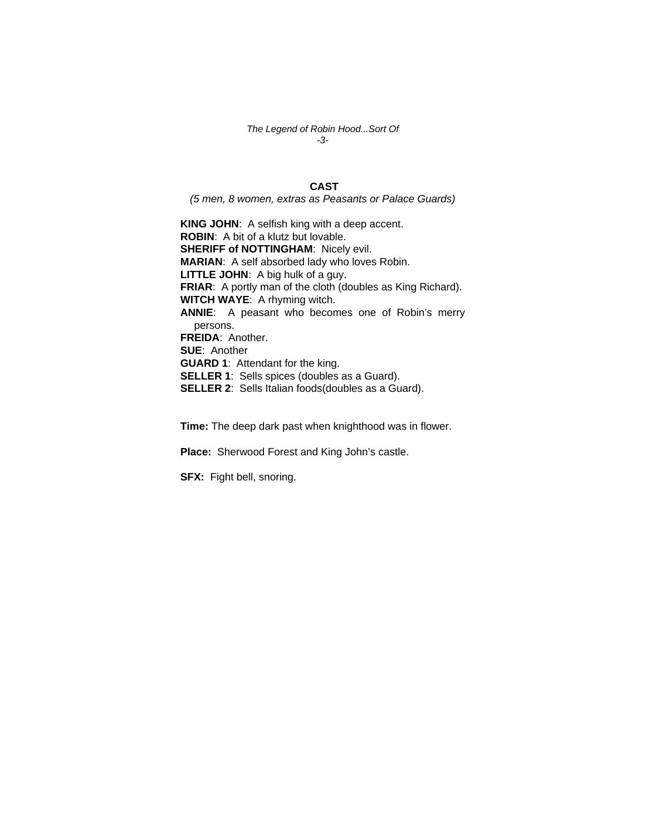*The Legend of Robin Hood...Sort Of -3-*

## **CAST**

*(5 men, 8 women, extras as Peasants or Palace Guards)*

**KING JOHN**: A selfish king with a deep accent. **ROBIN**: A bit of a klutz but lovable. **SHERIFF of NOTTINGHAM: Nicely evil. MARIAN**: A self absorbed lady who loves Robin. **LITTLE JOHN**: A big hulk of a guy. **FRIAR**: A portly man of the cloth (doubles as King Richard). **WITCH WAYE**: A rhyming witch. **ANNIE**: A peasant who becomes one of Robin's merry persons. **FREIDA**: Another. **SUE**: Another **GUARD 1**: Attendant for the king. **SELLER 1**: Sells spices (doubles as a Guard). **SELLER 2**: Sells Italian foods(doubles as a Guard).

**Time:** The deep dark past when knighthood was in flower.

**Place:** Sherwood Forest and King John's castle.

**SFX:** Fight bell, snoring.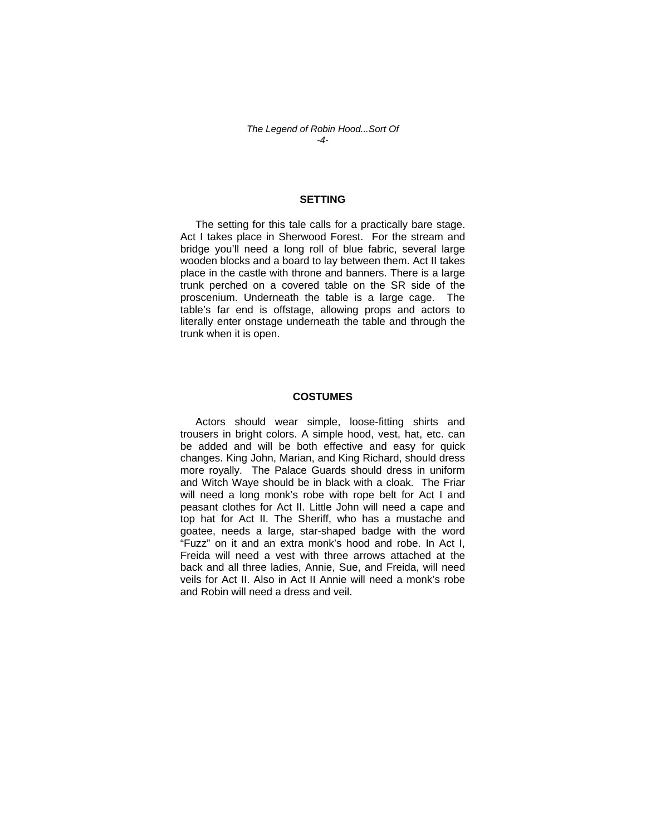#### **SETTING**

 The setting for this tale calls for a practically bare stage. Act I takes place in Sherwood Forest. For the stream and bridge you'll need a long roll of blue fabric, several large wooden blocks and a board to lay between them. Act II takes place in the castle with throne and banners. There is a large trunk perched on a covered table on the SR side of the proscenium. Underneath the table is a large cage. The table's far end is offstage, allowing props and actors to literally enter onstage underneath the table and through the trunk when it is open.

#### **COSTUMES**

 Actors should wear simple, loose-fitting shirts and trousers in bright colors. A simple hood, vest, hat, etc. can be added and will be both effective and easy for quick changes. King John, Marian, and King Richard, should dress more royally. The Palace Guards should dress in uniform and Witch Waye should be in black with a cloak. The Friar will need a long monk's robe with rope belt for Act I and peasant clothes for Act II. Little John will need a cape and top hat for Act II. The Sheriff, who has a mustache and goatee, needs a large, star-shaped badge with the word "Fuzz" on it and an extra monk's hood and robe. In Act I, Freida will need a vest with three arrows attached at the back and all three ladies, Annie, Sue, and Freida, will need veils for Act II. Also in Act II Annie will need a monk's robe and Robin will need a dress and veil.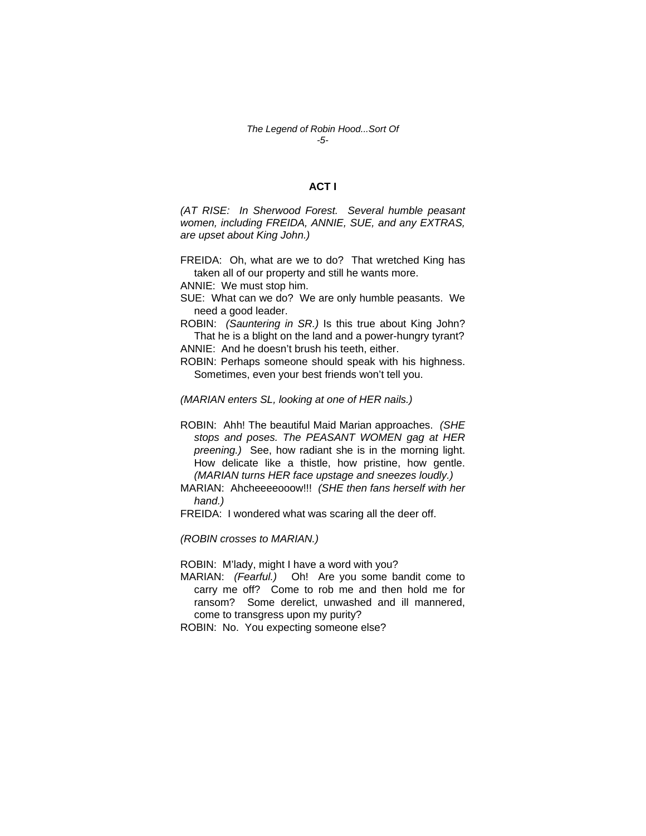#### *The Legend of Robin Hood...Sort Of -5-*

#### **ACT I**

*(AT RISE: In Sherwood Forest. Several humble peasant women, including FREIDA, ANNIE, SUE, and any EXTRAS, are upset about King John.)* 

FREIDA: Oh, what are we to do? That wretched King has taken all of our property and still he wants more.

ANNIE: We must stop him.

SUE: What can we do? We are only humble peasants. We need a good leader.

ROBIN: *(Sauntering in SR.)* Is this true about King John? That he is a blight on the land and a power-hungry tyrant?

ANNIE: And he doesn't brush his teeth, either.

ROBIN: Perhaps someone should speak with his highness. Sometimes, even your best friends won't tell you.

*(MARIAN enters SL, looking at one of HER nails.)* 

ROBIN: Ahh! The beautiful Maid Marian approaches. *(SHE stops and poses. The PEASANT WOMEN gag at HER preening.)* See, how radiant she is in the morning light. How delicate like a thistle, how pristine, how gentle. *(MARIAN turns HER face upstage and sneezes loudly.)* 

MARIAN: Ahcheeeeooow!!! *(SHE then fans herself with her hand.)* 

FREIDA: I wondered what was scaring all the deer off.

*(ROBIN crosses to MARIAN.)* 

ROBIN: M'lady, might I have a word with you?

MARIAN: *(Fearful.)* Oh! Are you some bandit come to carry me off? Come to rob me and then hold me for ransom? Some derelict, unwashed and ill mannered, come to transgress upon my purity?

ROBIN: No. You expecting someone else?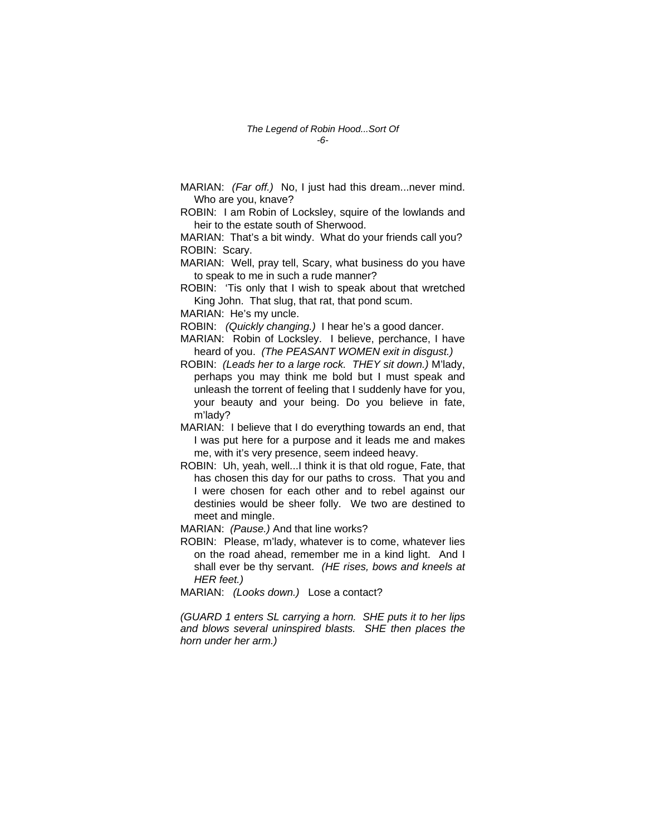MARIAN: *(Far off.)* No, I just had this dream...never mind. Who are you, knave?

ROBIN: I am Robin of Locksley, squire of the lowlands and heir to the estate south of Sherwood.

MARIAN: That's a bit windy. What do your friends call you? ROBIN: Scary.

MARIAN: Well, pray tell, Scary, what business do you have to speak to me in such a rude manner?

ROBIN: 'Tis only that I wish to speak about that wretched King John. That slug, that rat, that pond scum.

MARIAN: He's my uncle.

ROBIN: *(Quickly changing.)* I hear he's a good dancer.

MARIAN: Robin of Locksley. I believe, perchance, I have heard of you. *(The PEASANT WOMEN exit in disgust.)* 

- ROBIN: *(Leads her to a large rock. THEY sit down.)* M'lady, perhaps you may think me bold but I must speak and unleash the torrent of feeling that I suddenly have for you, your beauty and your being. Do you believe in fate, m'lady?
- MARIAN: I believe that I do everything towards an end, that I was put here for a purpose and it leads me and makes me, with it's very presence, seem indeed heavy.
- ROBIN: Uh, yeah, well...I think it is that old rogue, Fate, that has chosen this day for our paths to cross. That you and I were chosen for each other and to rebel against our destinies would be sheer folly. We two are destined to meet and mingle.

MARIAN: *(Pause.)* And that line works?

- ROBIN: Please, m'lady, whatever is to come, whatever lies on the road ahead, remember me in a kind light. And I shall ever be thy servant. *(HE rises, bows and kneels at HER feet.)*
- MARIAN: *(Looks down.)* Lose a contact?

*(GUARD 1 enters SL carrying a horn. SHE puts it to her lips and blows several uninspired blasts. SHE then places the horn under her arm.)*